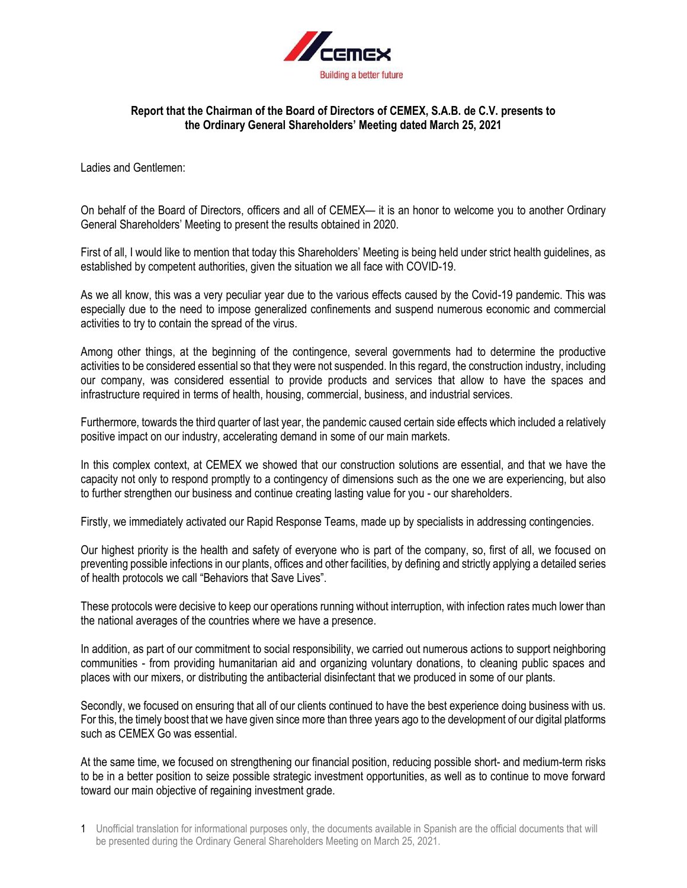

## **Report that the Chairman of the Board of Directors of CEMEX, S.A.B. de C.V. presents to the Ordinary General Shareholders' Meeting dated March 25, 2021**

Ladies and Gentlemen:

On behalf of the Board of Directors, officers and all of CEMEX— it is an honor to welcome you to another Ordinary General Shareholders' Meeting to present the results obtained in 2020.

First of all, I would like to mention that today this Shareholders' Meeting is being held under strict health guidelines, as established by competent authorities, given the situation we all face with COVID-19.

As we all know, this was a very peculiar year due to the various effects caused by the Covid-19 pandemic. This was especially due to the need to impose generalized confinements and suspend numerous economic and commercial activities to try to contain the spread of the virus.

Among other things, at the beginning of the contingence, several governments had to determine the productive activities to be considered essential so that they were not suspended. In this regard, the construction industry, including our company, was considered essential to provide products and services that allow to have the spaces and infrastructure required in terms of health, housing, commercial, business, and industrial services.

Furthermore, towards the third quarter of last year, the pandemic caused certain side effects which included a relatively positive impact on our industry, accelerating demand in some of our main markets.

In this complex context, at CEMEX we showed that our construction solutions are essential, and that we have the capacity not only to respond promptly to a contingency of dimensions such as the one we are experiencing, but also to further strengthen our business and continue creating lasting value for you - our shareholders.

Firstly, we immediately activated our Rapid Response Teams, made up by specialists in addressing contingencies.

Our highest priority is the health and safety of everyone who is part of the company, so, first of all, we focused on preventing possible infections in our plants, offices and other facilities, by defining and strictly applying a detailed series of health protocols we call "Behaviors that Save Lives".

These protocols were decisive to keep our operations running without interruption, with infection rates much lower than the national averages of the countries where we have a presence.

In addition, as part of our commitment to social responsibility, we carried out numerous actions to support neighboring communities - from providing humanitarian aid and organizing voluntary donations, to cleaning public spaces and places with our mixers, or distributing the antibacterial disinfectant that we produced in some of our plants.

Secondly, we focused on ensuring that all of our clients continued to have the best experience doing business with us. For this, the timely boost that we have given since more than three years ago to the development of our digital platforms such as CEMEX Go was essential.

At the same time, we focused on strengthening our financial position, reducing possible short- and medium-term risks to be in a better position to seize possible strategic investment opportunities, as well as to continue to move forward toward our main objective of regaining investment grade.

<sup>1</sup> Unofficial translation for informational purposes only, the documents available in Spanish are the official documents that will be presented during the Ordinary General Shareholders Meeting on March 25, 2021.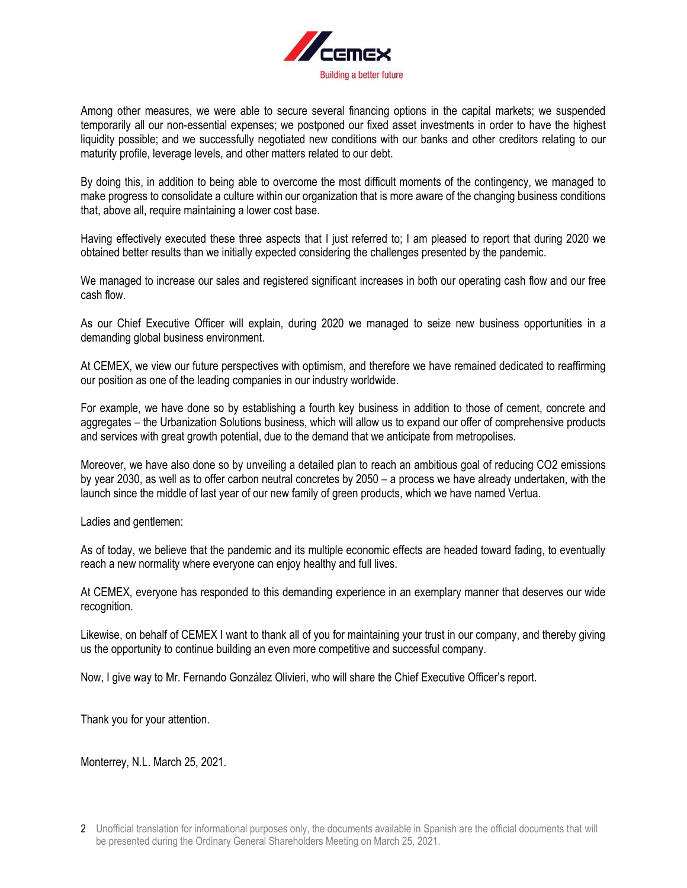

Among other measures, we were able to secure several financing options in the capital markets; we suspended temporarily all our non-essential expenses; we postponed our fixed asset investments in order to have the highest liquidity possible; and we successfully negotiated new conditions with our banks and other creditors relating to our maturity profile, leverage levels, and other matters related to our debt.

By doing this, in addition to being able to overcome the most difficult moments of the contingency, we managed to make progress to consolidate a culture within our organization that is more aware of the changing business conditions that, above all, require maintaining a lower cost base.

Having effectively executed these three aspects that I just referred to; I am pleased to report that during 2020 we obtained better results than we initially expected considering the challenges presented by the pandemic.

We managed to increase our sales and registered significant increases in both our operating cash flow and our free cash flow.

As our Chief Executive Officer will explain, during 2020 we managed to seize new business opportunities in a demanding global business environment.

At CEMEX, we view our future perspectives with optimism, and therefore we have remained dedicated to reaffirming our position as one of the leading companies in our industry worldwide.

For example, we have done so by establishing a fourth key business in addition to those of cement, concrete and aggregates – the Urbanization Solutions business, which will allow us to expand our offer of comprehensive products and services with great growth potential, due to the demand that we anticipate from metropolises.

Moreover, we have also done so by unveiling a detailed plan to reach an ambitious goal of reducing CO2 emissions by year 2030, as well as to offer carbon neutral concretes by 2050 – a process we have already undertaken, with the launch since the middle of last year of our new family of green products, which we have named Vertua.

Ladies and gentlemen:

As of today, we believe that the pandemic and its multiple economic effects are headed toward fading, to eventually reach a new normality where everyone can enjoy healthy and full lives.

At CEMEX, everyone has responded to this demanding experience in an exemplary manner that deserves our wide recognition.

Likewise, on behalf of CEMEX I want to thank all of you for maintaining your trust in our company, and thereby giving us the opportunity to continue building an even more competitive and successful company.

Now, I give way to Mr. Fernando González Olivieri, who will share the Chief Executive Officer's report.

Thank you for your attention.

Monterrey, N.L. March 25, 2021.

<sup>2</sup> Unofficial translation for informational purposes only, the documents available in Spanish are the official documents that will be presented during the Ordinary General Shareholders Meeting on March 25, 2021.